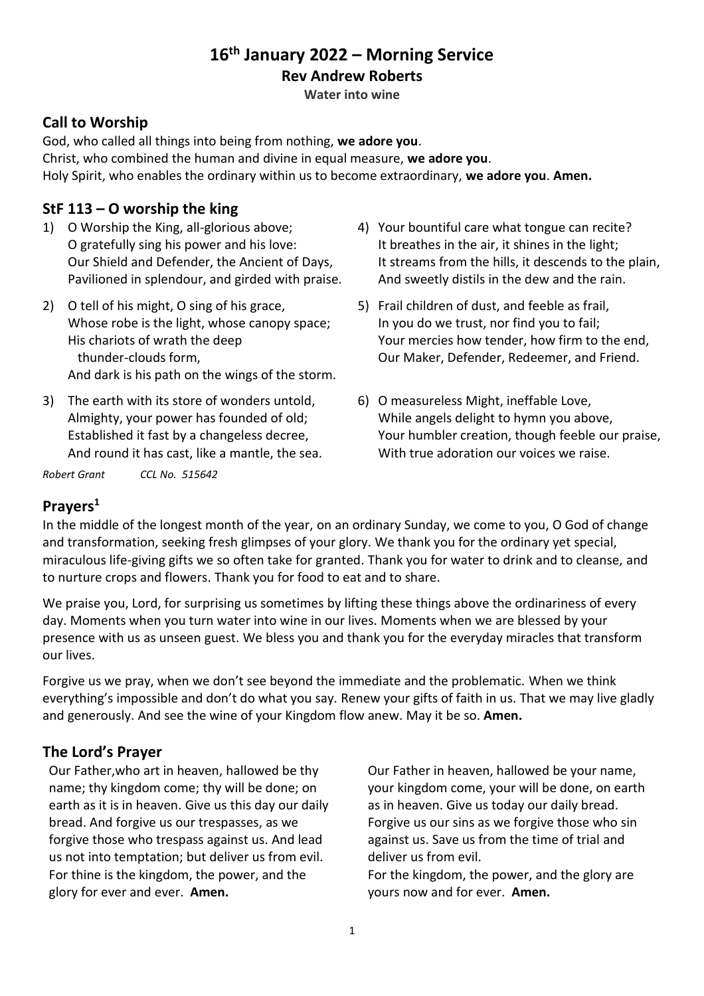# **16th January 2022 – Morning Service**

#### **Rev Andrew Roberts**

**Water into wine**

### **Call to Worship**

God, who called all things into being from nothing, **we adore you**. Christ, who combined the human and divine in equal measure, **we adore you**. Holy Spirit, who enables the ordinary within us to become extraordinary, **we adore you**. **Amen.**

### **StF 113 – O worship the king**

- 1) O Worship the King, all-glorious above; O gratefully sing his power and his love: Our Shield and Defender, the Ancient of Days, Pavilioned in splendour, and girded with praise.
- 2) O tell of his might, O sing of his grace, Whose robe is the light, whose canopy space; His chariots of wrath the deep thunder-clouds form, And dark is his path on the wings of the storm.
- 3) The earth with its store of wonders untold, Almighty, your power has founded of old; Established it fast by a changeless decree, And round it has cast, like a mantle, the sea.

*Robert Grant CCL No. 515642*

- 4) Your bountiful care what tongue can recite? It breathes in the air, it shines in the light; It streams from the hills, it descends to the plain, And sweetly distils in the dew and the rain.
- 5) Frail children of dust, and feeble as frail, In you do we trust, nor find you to fail; Your mercies how tender, how firm to the end, Our Maker, Defender, Redeemer, and Friend.
- 6) O measureless Might, ineffable Love, While angels delight to hymn you above, Your humbler creation, though feeble our praise, With true adoration our voices we raise.

## **Prayers<sup>1</sup>**

In the middle of the longest month of the year, on an ordinary Sunday, we come to you, O God of change and transformation, seeking fresh glimpses of your glory. We thank you for the ordinary yet special, miraculous life-giving gifts we so often take for granted. Thank you for water to drink and to cleanse, and to nurture crops and flowers. Thank you for food to eat and to share.

We praise you, Lord, for surprising us sometimes by lifting these things above the ordinariness of every day. Moments when you turn water into wine in our lives. Moments when we are blessed by your presence with us as unseen guest. We bless you and thank you for the everyday miracles that transform our lives.

Forgive us we pray, when we don't see beyond the immediate and the problematic. When we think everything's impossible and don't do what you say. Renew your gifts of faith in us. That we may live gladly and generously. And see the wine of your Kingdom flow anew. May it be so. **Amen.**

## **The Lord's Prayer**

Our Father,who art in heaven, hallowed be thy name; thy kingdom come; thy will be done; on earth as it is in heaven. Give us this day our daily bread. And forgive us our trespasses, as we forgive those who trespass against us. And lead us not into temptation; but deliver us from evil. For thine is the kingdom, the power, and the glory for ever and ever. **Amen.**

Our Father in heaven, hallowed be your name, your kingdom come, your will be done, on earth as in heaven. Give us today our daily bread. Forgive us our sins as we forgive those who sin against us. Save us from the time of trial and deliver us from evil.

For the kingdom, the power, and the glory are yours now and for ever. **Amen.**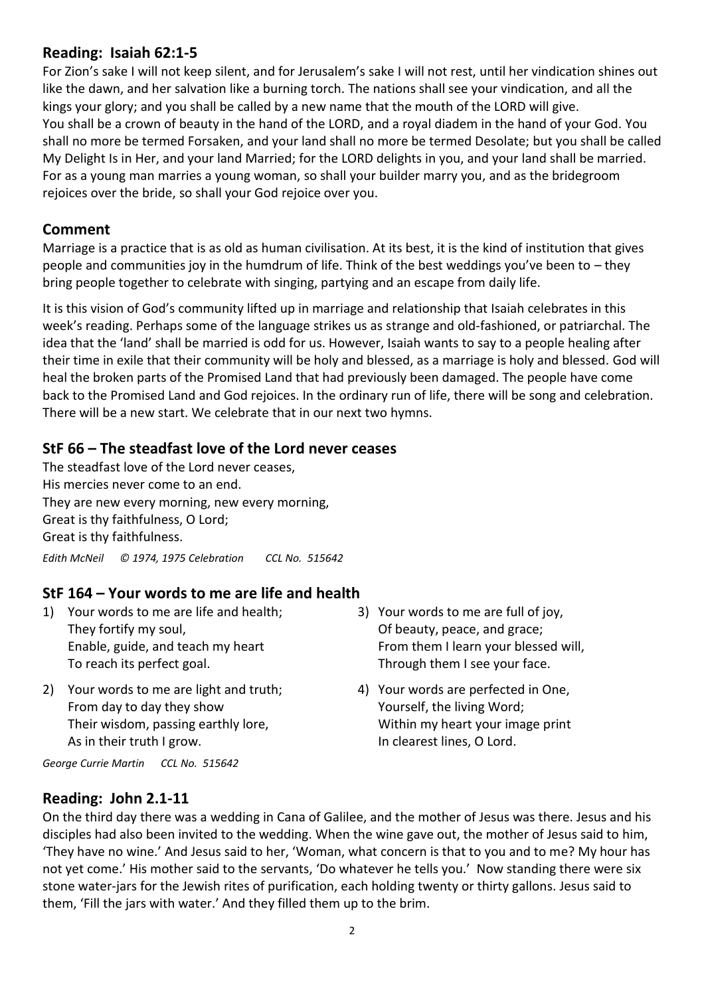### **Reading: Isaiah 62:1-5**

For Zion's sake I will not keep silent, and for Jerusalem's sake I will not rest, until her vindication shines out like the dawn, and her salvation like a burning torch. The nations shall see your vindication, and all the kings your glory; and you shall be called by a new name that the mouth of the LORD will give. You shall be a crown of beauty in the hand of the LORD, and a royal diadem in the hand of your God. You shall no more be termed Forsaken, and your land shall no more be termed Desolate; but you shall be called My Delight Is in Her, and your land Married; for the LORD delights in you, and your land shall be married. For as a young man marries a young woman, so shall your builder marry you, and as the bridegroom rejoices over the bride, so shall your God rejoice over you.

## **Comment**

Marriage is a practice that is as old as human civilisation. At its best, it is the kind of institution that gives people and communities joy in the humdrum of life. Think of the best weddings you've been to – they bring people together to celebrate with singing, partying and an escape from daily life.

It is this vision of God's community lifted up in marriage and relationship that Isaiah celebrates in this week's reading. Perhaps some of the language strikes us as strange and old-fashioned, or patriarchal. The idea that the 'land' shall be married is odd for us. However, Isaiah wants to say to a people healing after their time in exile that their community will be holy and blessed, as a marriage is holy and blessed. God will heal the broken parts of the Promised Land that had previously been damaged. The people have come back to the Promised Land and God rejoices. In the ordinary run of life, there will be song and celebration. There will be a new start. We celebrate that in our next two hymns.

### **StF 66 – The steadfast love of the Lord never ceases**

The steadfast love of the Lord never ceases, His mercies never come to an end. They are new every morning, new every morning, Great is thy faithfulness, O Lord; Great is thy faithfulness. *Edith McNeil © 1974, 1975 Celebration CCL No. 515642*

## **StF 164 – Your words to me are life and health**

- 1) Your words to me are life and health; They fortify my soul, Enable, guide, and teach my heart To reach its perfect goal.
- 2) Your words to me are light and truth; From day to day they show Their wisdom, passing earthly lore, As in their truth I grow.
- 3) Your words to me are full of joy, Of beauty, peace, and grace; From them I learn your blessed will, Through them I see your face.
- 4) Your words are perfected in One, Yourself, the living Word; Within my heart your image print In clearest lines, O Lord.

*George Currie Martin CCL No. 515642*

#### **Reading: John 2.1-11**

On the third day there was a wedding in Cana of Galilee, and the mother of Jesus was there. Jesus and his disciples had also been invited to the wedding. When the wine gave out, the mother of Jesus said to him, 'They have no wine.' And Jesus said to her, 'Woman, what concern is that to you and to me? My hour has not yet come.' His mother said to the servants, 'Do whatever he tells you.' Now standing there were six stone water-jars for the Jewish rites of purification, each holding twenty or thirty gallons. Jesus said to them, 'Fill the jars with water.' And they filled them up to the brim.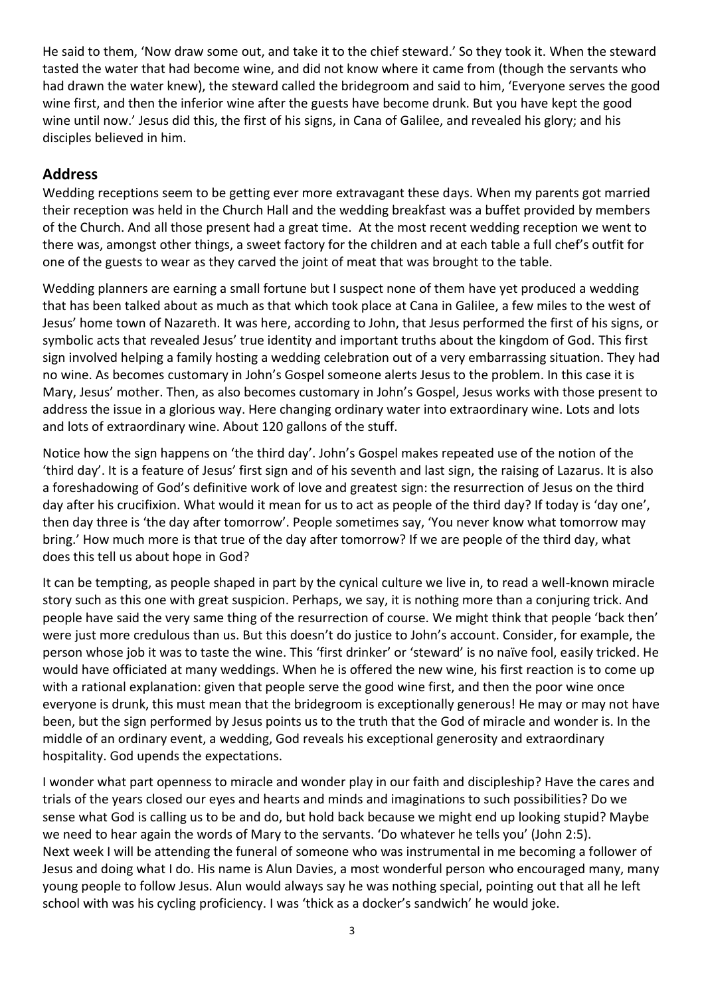He said to them, 'Now draw some out, and take it to the chief steward.' So they took it. When the steward tasted the water that had become wine, and did not know where it came from (though the servants who had drawn the water knew), the steward called the bridegroom and said to him, 'Everyone serves the good wine first, and then the inferior wine after the guests have become drunk. But you have kept the good wine until now.' Jesus did this, the first of his signs, in Cana of Galilee, and revealed his glory; and his disciples believed in him.

## **Address**

Wedding receptions seem to be getting ever more extravagant these days. When my parents got married their reception was held in the Church Hall and the wedding breakfast was a buffet provided by members of the Church. And all those present had a great time. At the most recent wedding reception we went to there was, amongst other things, a sweet factory for the children and at each table a full chef's outfit for one of the guests to wear as they carved the joint of meat that was brought to the table.

Wedding planners are earning a small fortune but I suspect none of them have yet produced a wedding that has been talked about as much as that which took place at Cana in Galilee, a few miles to the west of Jesus' home town of Nazareth. It was here, according to John, that Jesus performed the first of his signs, or symbolic acts that revealed Jesus' true identity and important truths about the kingdom of God. This first sign involved helping a family hosting a wedding celebration out of a very embarrassing situation. They had no wine. As becomes customary in John's Gospel someone alerts Jesus to the problem. In this case it is Mary, Jesus' mother. Then, as also becomes customary in John's Gospel, Jesus works with those present to address the issue in a glorious way. Here changing ordinary water into extraordinary wine. Lots and lots and lots of extraordinary wine. About 120 gallons of the stuff.

Notice how the sign happens on 'the third day'. John's Gospel makes repeated use of the notion of the 'third day'. It is a feature of Jesus' first sign and of his seventh and last sign, the raising of Lazarus. It is also a foreshadowing of God's definitive work of love and greatest sign: the resurrection of Jesus on the third day after his crucifixion. What would it mean for us to act as people of the third day? If today is 'day one', then day three is 'the day after tomorrow'. People sometimes say, 'You never know what tomorrow may bring.' How much more is that true of the day after tomorrow? If we are people of the third day, what does this tell us about hope in God?

It can be tempting, as people shaped in part by the cynical culture we live in, to read a well-known miracle story such as this one with great suspicion. Perhaps, we say, it is nothing more than a conjuring trick. And people have said the very same thing of the resurrection of course. We might think that people 'back then' were just more credulous than us. But this doesn't do justice to John's account. Consider, for example, the person whose job it was to taste the wine. This 'first drinker' or 'steward' is no naïve fool, easily tricked. He would have officiated at many weddings. When he is offered the new wine, his first reaction is to come up with a rational explanation: given that people serve the good wine first, and then the poor wine once everyone is drunk, this must mean that the bridegroom is exceptionally generous! He may or may not have been, but the sign performed by Jesus points us to the truth that the God of miracle and wonder is. In the middle of an ordinary event, a wedding, God reveals his exceptional generosity and extraordinary hospitality. God upends the expectations.

I wonder what part openness to miracle and wonder play in our faith and discipleship? Have the cares and trials of the years closed our eyes and hearts and minds and imaginations to such possibilities? Do we sense what God is calling us to be and do, but hold back because we might end up looking stupid? Maybe we need to hear again the words of Mary to the servants. 'Do whatever he tells you' (John 2:5). Next week I will be attending the funeral of someone who was instrumental in me becoming a follower of Jesus and doing what I do. His name is Alun Davies, a most wonderful person who encouraged many, many young people to follow Jesus. Alun would always say he was nothing special, pointing out that all he left school with was his cycling proficiency. I was 'thick as a docker's sandwich' he would joke.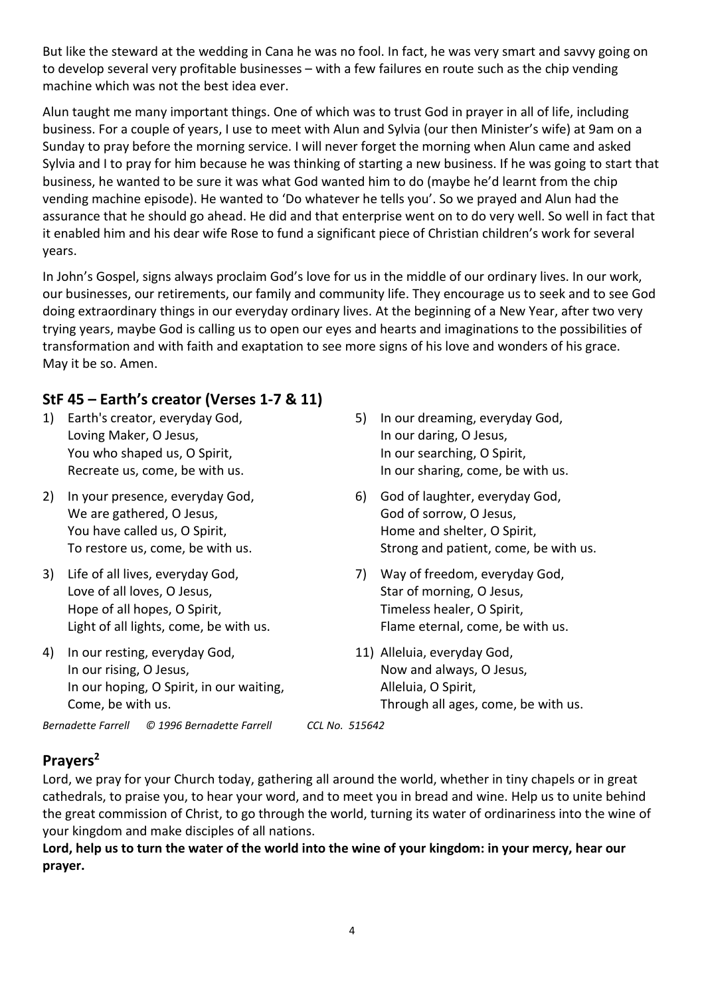But like the steward at the wedding in Cana he was no fool. In fact, he was very smart and savvy going on to develop several very profitable businesses – with a few failures en route such as the chip vending machine which was not the best idea ever.

Alun taught me many important things. One of which was to trust God in prayer in all of life, including business. For a couple of years, I use to meet with Alun and Sylvia (our then Minister's wife) at 9am on a Sunday to pray before the morning service. I will never forget the morning when Alun came and asked Sylvia and I to pray for him because he was thinking of starting a new business. If he was going to start that business, he wanted to be sure it was what God wanted him to do (maybe he'd learnt from the chip vending machine episode). He wanted to 'Do whatever he tells you'. So we prayed and Alun had the assurance that he should go ahead. He did and that enterprise went on to do very well. So well in fact that it enabled him and his dear wife Rose to fund a significant piece of Christian children's work for several years.

In John's Gospel, signs always proclaim God's love for us in the middle of our ordinary lives. In our work, our businesses, our retirements, our family and community life. They encourage us to seek and to see God doing extraordinary things in our everyday ordinary lives. At the beginning of a New Year, after two very trying years, maybe God is calling us to open our eyes and hearts and imaginations to the possibilities of transformation and with faith and exaptation to see more signs of his love and wonders of his grace. May it be so. Amen.

# **StF 45 – Earth's creator (Verses 1-7 & 11)**

- 1) Earth's creator, everyday God, Loving Maker, O Jesus, You who shaped us, O Spirit, Recreate us, come, be with us.
- 2) In your presence, everyday God, We are gathered, O Jesus, You have called us, O Spirit, To restore us, come, be with us.
- 3) Life of all lives, everyday God, Love of all loves, O Jesus, Hope of all hopes, O Spirit, Light of all lights, come, be with us.
- 4) In our resting, everyday God, In our rising, O Jesus, In our hoping, O Spirit, in our waiting, Come, be with us.
- 5) In our dreaming, everyday God, In our daring, O Jesus, In our searching, O Spirit, In our sharing, come, be with us.
- 6) God of laughter, everyday God, God of sorrow, O Jesus, Home and shelter, O Spirit, Strong and patient, come, be with us.
- 7) Way of freedom, everyday God, Star of morning, O Jesus, Timeless healer, O Spirit, Flame eternal, come, be with us.
- 11) Alleluia, everyday God, Now and always, O Jesus, Alleluia, O Spirit, Through all ages, come, be with us.

*Bernadette Farrell © 1996 Bernadette Farrell CCL No. 515642*

# **Prayers<sup>2</sup>**

Lord, we pray for your Church today, gathering all around the world, whether in tiny chapels or in great cathedrals, to praise you, to hear your word, and to meet you in bread and wine. Help us to unite behind the great commission of Christ, to go through the world, turning its water of ordinariness into the wine of your kingdom and make disciples of all nations.

**Lord, help us to turn the water of the world into the wine of your kingdom: in your mercy, hear our prayer.**